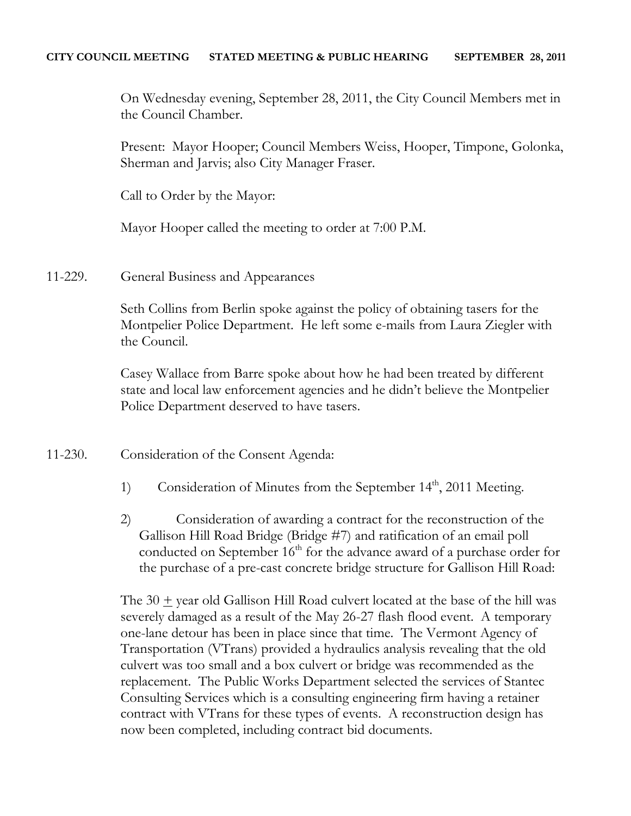On Wednesday evening, September 28, 2011, the City Council Members met in the Council Chamber.

Present: Mayor Hooper; Council Members Weiss, Hooper, Timpone, Golonka, Sherman and Jarvis; also City Manager Fraser.

Call to Order by the Mayor:

Mayor Hooper called the meeting to order at 7:00 P.M.

11-229. General Business and Appearances

Seth Collins from Berlin spoke against the policy of obtaining tasers for the Montpelier Police Department. He left some e-mails from Laura Ziegler with the Council.

Casey Wallace from Barre spoke about how he had been treated by different state and local law enforcement agencies and he didn't believe the Montpelier Police Department deserved to have tasers.

- 11-230. Consideration of the Consent Agenda:
	- 1) Consideration of Minutes from the September 14<sup>th</sup>, 2011 Meeting.
	- 2) Consideration of awarding a contract for the reconstruction of the Gallison Hill Road Bridge (Bridge #7) and ratification of an email poll conducted on September 16<sup>th</sup> for the advance award of a purchase order for the purchase of a pre-cast concrete bridge structure for Gallison Hill Road:

The 30 + year old Gallison Hill Road culvert located at the base of the hill was severely damaged as a result of the May 26-27 flash flood event. A temporary one-lane detour has been in place since that time. The Vermont Agency of Transportation (VTrans) provided a hydraulics analysis revealing that the old culvert was too small and a box culvert or bridge was recommended as the replacement. The Public Works Department selected the services of Stantec Consulting Services which is a consulting engineering firm having a retainer contract with VTrans for these types of events. A reconstruction design has now been completed, including contract bid documents.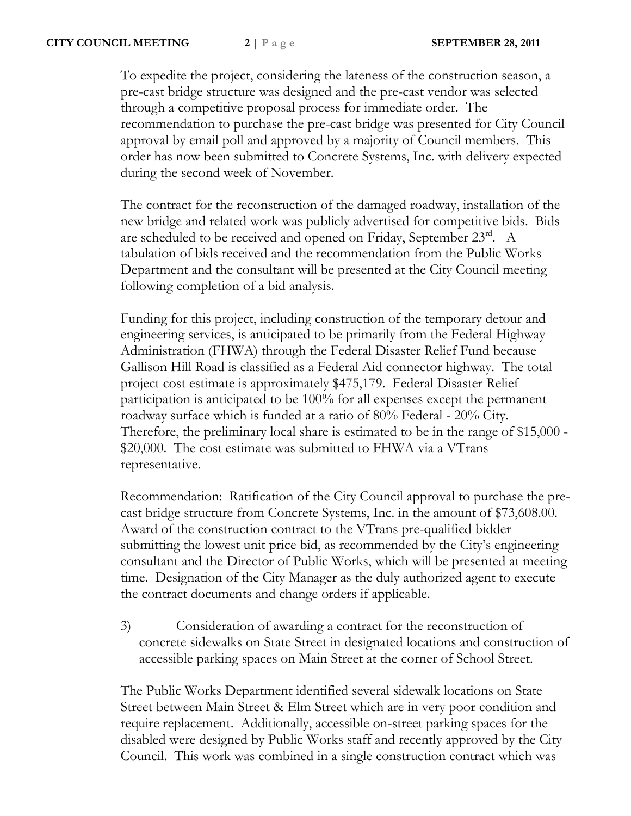To expedite the project, considering the lateness of the construction season, a pre-cast bridge structure was designed and the pre-cast vendor was selected through a competitive proposal process for immediate order. The recommendation to purchase the pre-cast bridge was presented for City Council approval by email poll and approved by a majority of Council members. This order has now been submitted to Concrete Systems, Inc. with delivery expected during the second week of November.

The contract for the reconstruction of the damaged roadway, installation of the new bridge and related work was publicly advertised for competitive bids. Bids are scheduled to be received and opened on Friday, September 23rd. A tabulation of bids received and the recommendation from the Public Works Department and the consultant will be presented at the City Council meeting following completion of a bid analysis.

Funding for this project, including construction of the temporary detour and engineering services, is anticipated to be primarily from the Federal Highway Administration (FHWA) through the Federal Disaster Relief Fund because Gallison Hill Road is classified as a Federal Aid connector highway. The total project cost estimate is approximately \$475,179. Federal Disaster Relief participation is anticipated to be 100% for all expenses except the permanent roadway surface which is funded at a ratio of 80% Federal - 20% City. Therefore, the preliminary local share is estimated to be in the range of \$15,000 - \$20,000. The cost estimate was submitted to FHWA via a VTrans representative.

Recommendation: Ratification of the City Council approval to purchase the precast bridge structure from Concrete Systems, Inc. in the amount of \$73,608.00. Award of the construction contract to the VTrans pre-qualified bidder submitting the lowest unit price bid, as recommended by the City's engineering consultant and the Director of Public Works, which will be presented at meeting time. Designation of the City Manager as the duly authorized agent to execute the contract documents and change orders if applicable.

3) Consideration of awarding a contract for the reconstruction of concrete sidewalks on State Street in designated locations and construction of accessible parking spaces on Main Street at the corner of School Street.

The Public Works Department identified several sidewalk locations on State Street between Main Street & Elm Street which are in very poor condition and require replacement. Additionally, accessible on-street parking spaces for the disabled were designed by Public Works staff and recently approved by the City Council. This work was combined in a single construction contract which was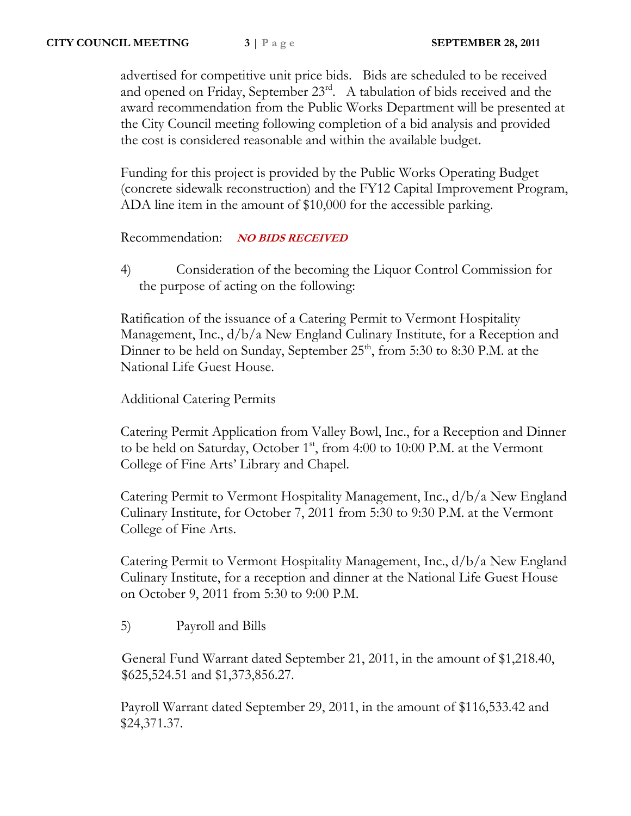advertised for competitive unit price bids. Bids are scheduled to be received and opened on Friday, September  $23<sup>rd</sup>$ . A tabulation of bids received and the award recommendation from the Public Works Department will be presented at the City Council meeting following completion of a bid analysis and provided the cost is considered reasonable and within the available budget.

Funding for this project is provided by the Public Works Operating Budget (concrete sidewalk reconstruction) and the FY12 Capital Improvement Program, ADA line item in the amount of \$10,000 for the accessible parking.

Recommendation: **NO BIDS RECEIVED**

4) Consideration of the becoming the Liquor Control Commission for the purpose of acting on the following:

Ratification of the issuance of a Catering Permit to Vermont Hospitality Management, Inc.,  $d/b/a$  New England Culinary Institute, for a Reception and Dinner to be held on Sunday, September  $25<sup>th</sup>$ , from 5:30 to 8:30 P.M. at the National Life Guest House.

Additional Catering Permits

Catering Permit Application from Valley Bowl, Inc., for a Reception and Dinner to be held on Saturday, October 1<sup>st</sup>, from 4:00 to 10:00 P.M. at the Vermont College of Fine Arts' Library and Chapel.

Catering Permit to Vermont Hospitality Management, Inc., d/b/a New England Culinary Institute, for October 7, 2011 from 5:30 to 9:30 P.M. at the Vermont College of Fine Arts.

Catering Permit to Vermont Hospitality Management, Inc., d/b/a New England Culinary Institute, for a reception and dinner at the National Life Guest House on October 9, 2011 from 5:30 to 9:00 P.M.

5) Payroll and Bills

 General Fund Warrant dated September 21, 2011, in the amount of \$1,218.40, \$625,524.51 and \$1,373,856.27.

Payroll Warrant dated September 29, 2011, in the amount of \$116,533.42 and \$24,371.37.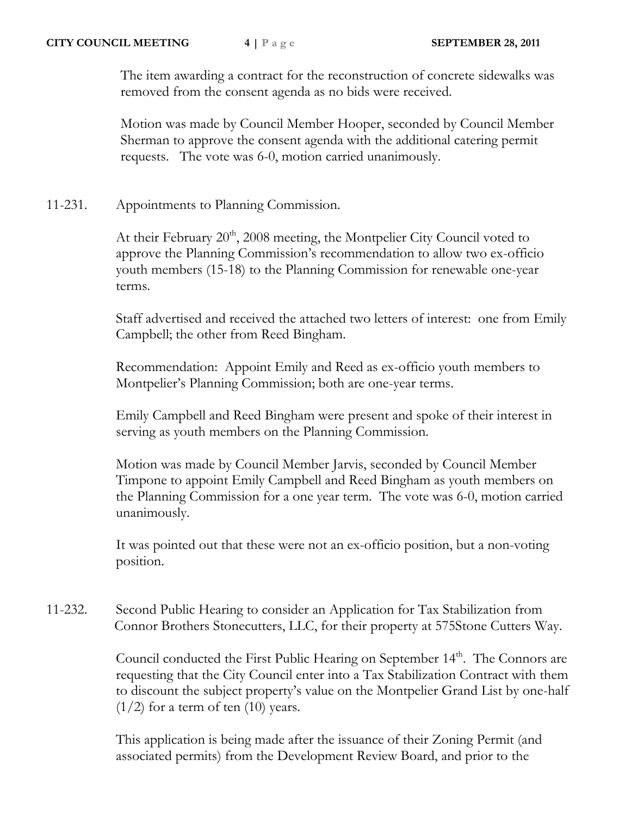The item awarding a contract for the reconstruction of concrete sidewalks was removed from the consent agenda as no bids were received.

Motion was made by Council Member Hooper, seconded by Council Member Sherman to approve the consent agenda with the additional catering permit requests. The vote was 6-0, motion carried unanimously.

11-231. Appointments to Planning Commission.

At their February 20<sup>th</sup>, 2008 meeting, the Montpelier City Council voted to approve the Planning Commission's recommendation to allow two ex-officio youth members (15-18) to the Planning Commission for renewable one-year terms.

Staff advertised and received the attached two letters of interest: one from Emily Campbell; the other from Reed Bingham.

Recommendation: Appoint Emily and Reed as ex-officio youth members to Montpelier's Planning Commission; both are one-year terms.

Emily Campbell and Reed Bingham were present and spoke of their interest in serving as youth members on the Planning Commission.

Motion was made by Council Member Jarvis, seconded by Council Member Timpone to appoint Emily Campbell and Reed Bingham as youth members on the Planning Commission for a one year term. The vote was 6-0, motion carried unanimously.

It was pointed out that these were not an ex-officio position, but a non-voting position.

11-232. Second Public Hearing to consider an Application for Tax Stabilization from Connor Brothers Stonecutters, LLC, for their property at 575Stone Cutters Way.

> Council conducted the First Public Hearing on September 14<sup>th</sup>. The Connors are requesting that the City Council enter into a Tax Stabilization Contract with them to discount the subject property's value on the Montpelier Grand List by one-half  $(1/2)$  for a term of ten  $(10)$  years.

This application is being made after the issuance of their Zoning Permit (and associated permits) from the Development Review Board, and prior to the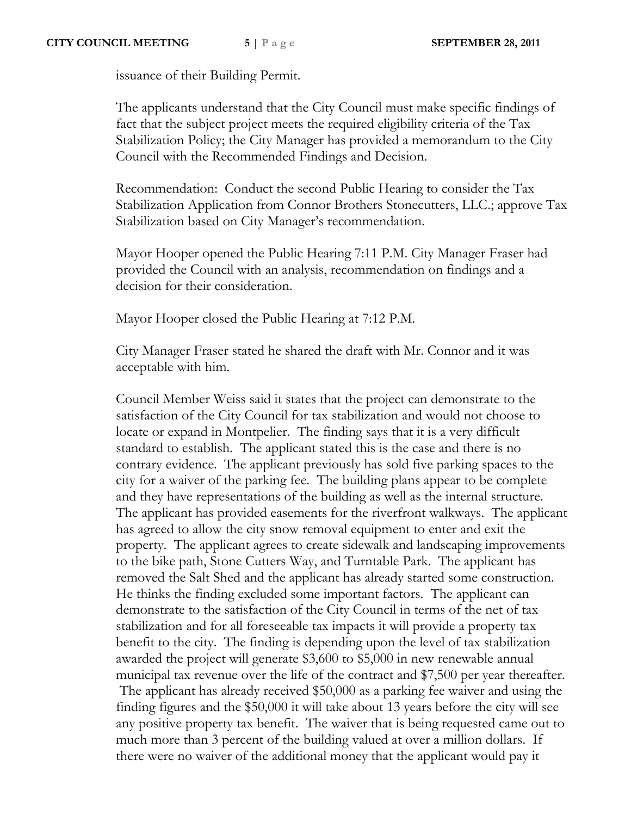issuance of their Building Permit.

The applicants understand that the City Council must make specific findings of fact that the subject project meets the required eligibility criteria of the Tax Stabilization Policy; the City Manager has provided a memorandum to the City Council with the Recommended Findings and Decision.

Recommendation: Conduct the second Public Hearing to consider the Tax Stabilization Application from Connor Brothers Stonecutters, LLC.; approve Tax Stabilization based on City Manager's recommendation.

Mayor Hooper opened the Public Hearing 7:11 P.M. City Manager Fraser had provided the Council with an analysis, recommendation on findings and a decision for their consideration.

Mayor Hooper closed the Public Hearing at 7:12 P.M.

City Manager Fraser stated he shared the draft with Mr. Connor and it was acceptable with him.

Council Member Weiss said it states that the project can demonstrate to the satisfaction of the City Council for tax stabilization and would not choose to locate or expand in Montpelier. The finding says that it is a very difficult standard to establish. The applicant stated this is the case and there is no contrary evidence. The applicant previously has sold five parking spaces to the city for a waiver of the parking fee. The building plans appear to be complete and they have representations of the building as well as the internal structure. The applicant has provided easements for the riverfront walkways. The applicant has agreed to allow the city snow removal equipment to enter and exit the property. The applicant agrees to create sidewalk and landscaping improvements to the bike path, Stone Cutters Way, and Turntable Park. The applicant has removed the Salt Shed and the applicant has already started some construction. He thinks the finding excluded some important factors. The applicant can demonstrate to the satisfaction of the City Council in terms of the net of tax stabilization and for all foreseeable tax impacts it will provide a property tax benefit to the city. The finding is depending upon the level of tax stabilization awarded the project will generate \$3,600 to \$5,000 in new renewable annual municipal tax revenue over the life of the contract and \$7,500 per year thereafter. The applicant has already received \$50,000 as a parking fee waiver and using the finding figures and the \$50,000 it will take about 13 years before the city will see any positive property tax benefit. The waiver that is being requested came out to much more than 3 percent of the building valued at over a million dollars. If there were no waiver of the additional money that the applicant would pay it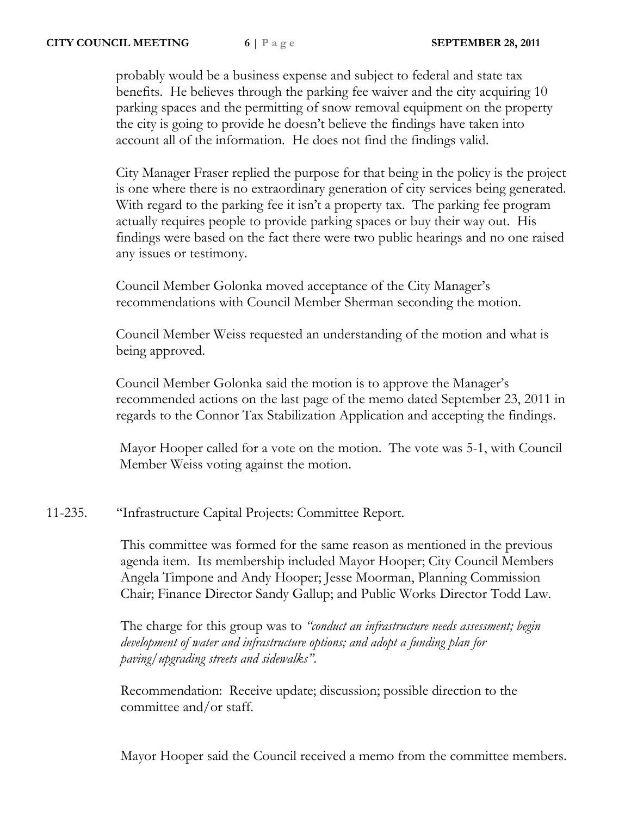probably would be a business expense and subject to federal and state tax benefits. He believes through the parking fee waiver and the city acquiring 10 parking spaces and the permitting of snow removal equipment on the property the city is going to provide he doesn't believe the findings have taken into account all of the information. He does not find the findings valid.

City Manager Fraser replied the purpose for that being in the policy is the project is one where there is no extraordinary generation of city services being generated. With regard to the parking fee it isn't a property tax. The parking fee program actually requires people to provide parking spaces or buy their way out. His findings were based on the fact there were two public hearings and no one raised any issues or testimony.

Council Member Golonka moved acceptance of the City Manager's recommendations with Council Member Sherman seconding the motion.

Council Member Weiss requested an understanding of the motion and what is being approved.

Council Member Golonka said the motion is to approve the Manager's recommended actions on the last page of the memo dated September 23, 2011 in regards to the Connor Tax Stabilization Application and accepting the findings.

 Mayor Hooper called for a vote on the motion. The vote was 5-1, with Council Member Weiss voting against the motion.

11-235. "Infrastructure Capital Projects: Committee Report.

This committee was formed for the same reason as mentioned in the previous agenda item. Its membership included Mayor Hooper; City Council Members Angela Timpone and Andy Hooper; Jesse Moorman, Planning Commission Chair; Finance Director Sandy Gallup; and Public Works Director Todd Law.

The charge for this group was to *"conduct an infrastructure needs assessment; begin development of water and infrastructure options; and adopt a funding plan for paving/upgrading streets and sidewalks"*.

Recommendation: Receive update; discussion; possible direction to the committee and/or staff.

Mayor Hooper said the Council received a memo from the committee members.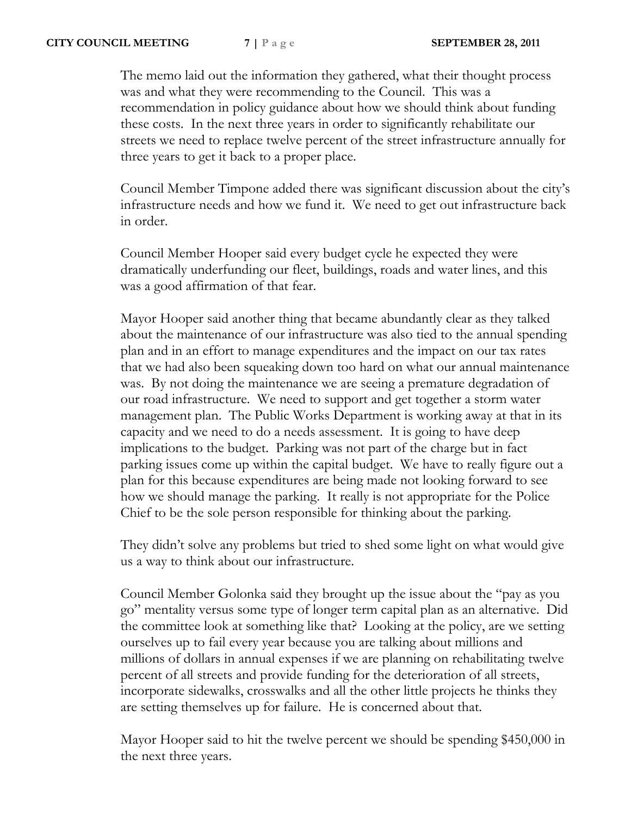The memo laid out the information they gathered, what their thought process was and what they were recommending to the Council. This was a recommendation in policy guidance about how we should think about funding these costs. In the next three years in order to significantly rehabilitate our streets we need to replace twelve percent of the street infrastructure annually for three years to get it back to a proper place.

Council Member Timpone added there was significant discussion about the city's infrastructure needs and how we fund it. We need to get out infrastructure back in order.

Council Member Hooper said every budget cycle he expected they were dramatically underfunding our fleet, buildings, roads and water lines, and this was a good affirmation of that fear.

Mayor Hooper said another thing that became abundantly clear as they talked about the maintenance of our infrastructure was also tied to the annual spending plan and in an effort to manage expenditures and the impact on our tax rates that we had also been squeaking down too hard on what our annual maintenance was. By not doing the maintenance we are seeing a premature degradation of our road infrastructure. We need to support and get together a storm water management plan. The Public Works Department is working away at that in its capacity and we need to do a needs assessment. It is going to have deep implications to the budget. Parking was not part of the charge but in fact parking issues come up within the capital budget. We have to really figure out a plan for this because expenditures are being made not looking forward to see how we should manage the parking. It really is not appropriate for the Police Chief to be the sole person responsible for thinking about the parking.

They didn't solve any problems but tried to shed some light on what would give us a way to think about our infrastructure.

Council Member Golonka said they brought up the issue about the "pay as you go" mentality versus some type of longer term capital plan as an alternative. Did the committee look at something like that? Looking at the policy, are we setting ourselves up to fail every year because you are talking about millions and millions of dollars in annual expenses if we are planning on rehabilitating twelve percent of all streets and provide funding for the deterioration of all streets, incorporate sidewalks, crosswalks and all the other little projects he thinks they are setting themselves up for failure. He is concerned about that.

Mayor Hooper said to hit the twelve percent we should be spending \$450,000 in the next three years.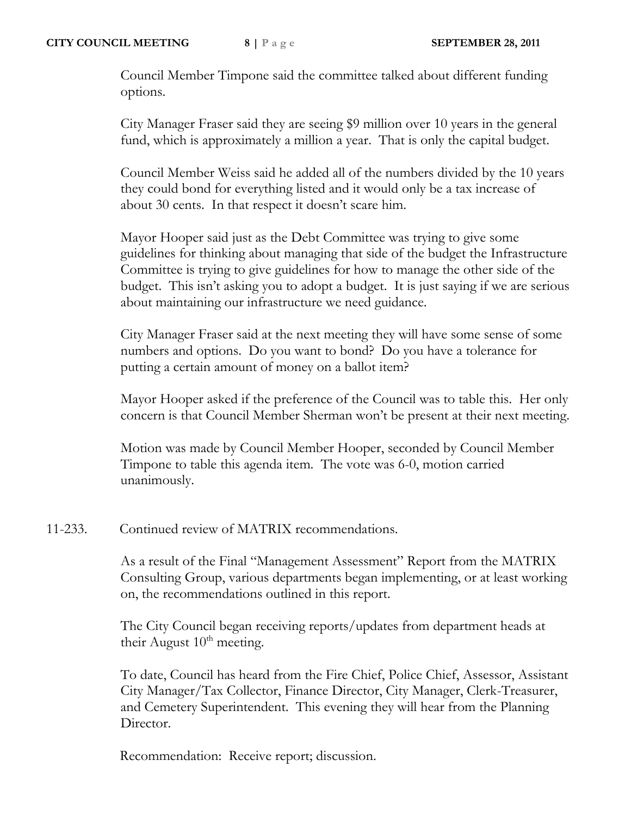Council Member Timpone said the committee talked about different funding options.

City Manager Fraser said they are seeing \$9 million over 10 years in the general fund, which is approximately a million a year. That is only the capital budget.

Council Member Weiss said he added all of the numbers divided by the 10 years they could bond for everything listed and it would only be a tax increase of about 30 cents. In that respect it doesn't scare him.

Mayor Hooper said just as the Debt Committee was trying to give some guidelines for thinking about managing that side of the budget the Infrastructure Committee is trying to give guidelines for how to manage the other side of the budget. This isn't asking you to adopt a budget. It is just saying if we are serious about maintaining our infrastructure we need guidance.

City Manager Fraser said at the next meeting they will have some sense of some numbers and options. Do you want to bond? Do you have a tolerance for putting a certain amount of money on a ballot item?

Mayor Hooper asked if the preference of the Council was to table this. Her only concern is that Council Member Sherman won't be present at their next meeting.

Motion was made by Council Member Hooper, seconded by Council Member Timpone to table this agenda item. The vote was 6-0, motion carried unanimously.

## 11-233. Continued review of MATRIX recommendations.

As a result of the Final "Management Assessment" Report from the MATRIX Consulting Group, various departments began implementing, or at least working on, the recommendations outlined in this report.

The City Council began receiving reports/updates from department heads at their August  $10<sup>th</sup>$  meeting.

To date, Council has heard from the Fire Chief, Police Chief, Assessor, Assistant City Manager/Tax Collector, Finance Director, City Manager, Clerk-Treasurer, and Cemetery Superintendent. This evening they will hear from the Planning Director.

Recommendation: Receive report; discussion.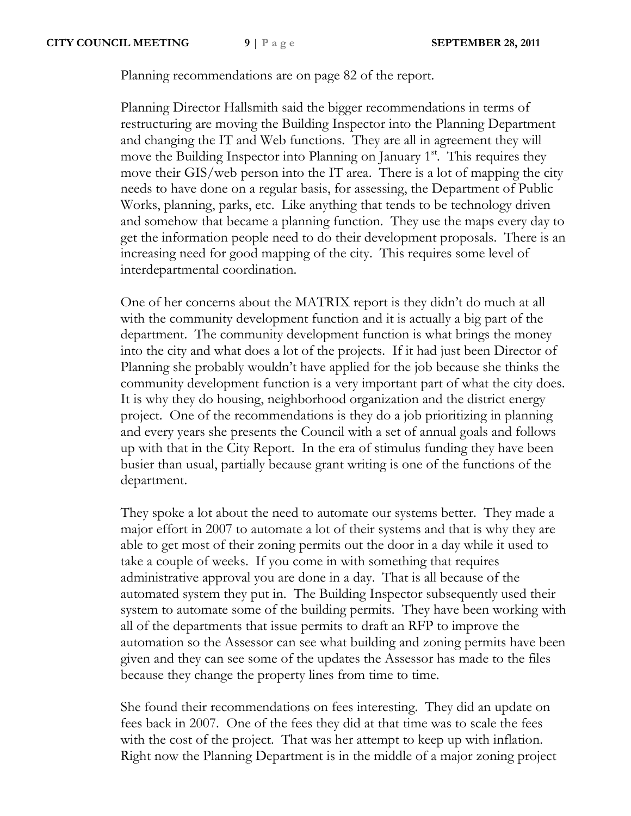Planning recommendations are on page 82 of the report.

Planning Director Hallsmith said the bigger recommendations in terms of restructuring are moving the Building Inspector into the Planning Department and changing the IT and Web functions. They are all in agreement they will move the Building Inspector into Planning on January 1<sup>st</sup>. This requires they move their GIS/web person into the IT area. There is a lot of mapping the city needs to have done on a regular basis, for assessing, the Department of Public Works, planning, parks, etc. Like anything that tends to be technology driven and somehow that became a planning function. They use the maps every day to get the information people need to do their development proposals. There is an increasing need for good mapping of the city. This requires some level of interdepartmental coordination.

One of her concerns about the MATRIX report is they didn't do much at all with the community development function and it is actually a big part of the department. The community development function is what brings the money into the city and what does a lot of the projects. If it had just been Director of Planning she probably wouldn't have applied for the job because she thinks the community development function is a very important part of what the city does. It is why they do housing, neighborhood organization and the district energy project. One of the recommendations is they do a job prioritizing in planning and every years she presents the Council with a set of annual goals and follows up with that in the City Report. In the era of stimulus funding they have been busier than usual, partially because grant writing is one of the functions of the department.

They spoke a lot about the need to automate our systems better. They made a major effort in 2007 to automate a lot of their systems and that is why they are able to get most of their zoning permits out the door in a day while it used to take a couple of weeks. If you come in with something that requires administrative approval you are done in a day. That is all because of the automated system they put in. The Building Inspector subsequently used their system to automate some of the building permits. They have been working with all of the departments that issue permits to draft an RFP to improve the automation so the Assessor can see what building and zoning permits have been given and they can see some of the updates the Assessor has made to the files because they change the property lines from time to time.

She found their recommendations on fees interesting. They did an update on fees back in 2007. One of the fees they did at that time was to scale the fees with the cost of the project. That was her attempt to keep up with inflation. Right now the Planning Department is in the middle of a major zoning project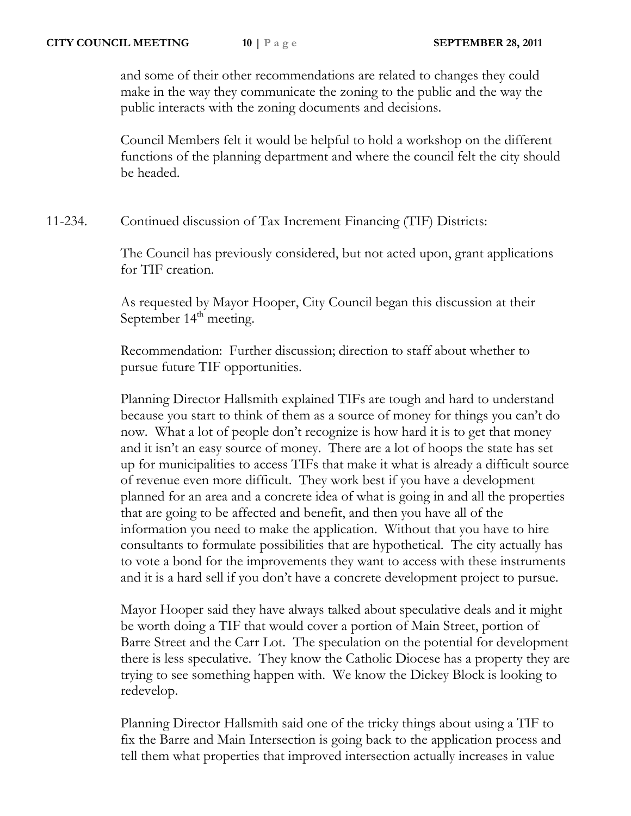and some of their other recommendations are related to changes they could make in the way they communicate the zoning to the public and the way the public interacts with the zoning documents and decisions.

Council Members felt it would be helpful to hold a workshop on the different functions of the planning department and where the council felt the city should be headed.

11-234. Continued discussion of Tax Increment Financing (TIF) Districts:

The Council has previously considered, but not acted upon, grant applications for TIF creation.

As requested by Mayor Hooper, City Council began this discussion at their September 14<sup>th</sup> meeting.

Recommendation: Further discussion; direction to staff about whether to pursue future TIF opportunities.

Planning Director Hallsmith explained TIFs are tough and hard to understand because you start to think of them as a source of money for things you can't do now. What a lot of people don't recognize is how hard it is to get that money and it isn't an easy source of money. There are a lot of hoops the state has set up for municipalities to access TIFs that make it what is already a difficult source of revenue even more difficult. They work best if you have a development planned for an area and a concrete idea of what is going in and all the properties that are going to be affected and benefit, and then you have all of the information you need to make the application. Without that you have to hire consultants to formulate possibilities that are hypothetical. The city actually has to vote a bond for the improvements they want to access with these instruments and it is a hard sell if you don't have a concrete development project to pursue.

Mayor Hooper said they have always talked about speculative deals and it might be worth doing a TIF that would cover a portion of Main Street, portion of Barre Street and the Carr Lot. The speculation on the potential for development there is less speculative. They know the Catholic Diocese has a property they are trying to see something happen with. We know the Dickey Block is looking to redevelop.

Planning Director Hallsmith said one of the tricky things about using a TIF to fix the Barre and Main Intersection is going back to the application process and tell them what properties that improved intersection actually increases in value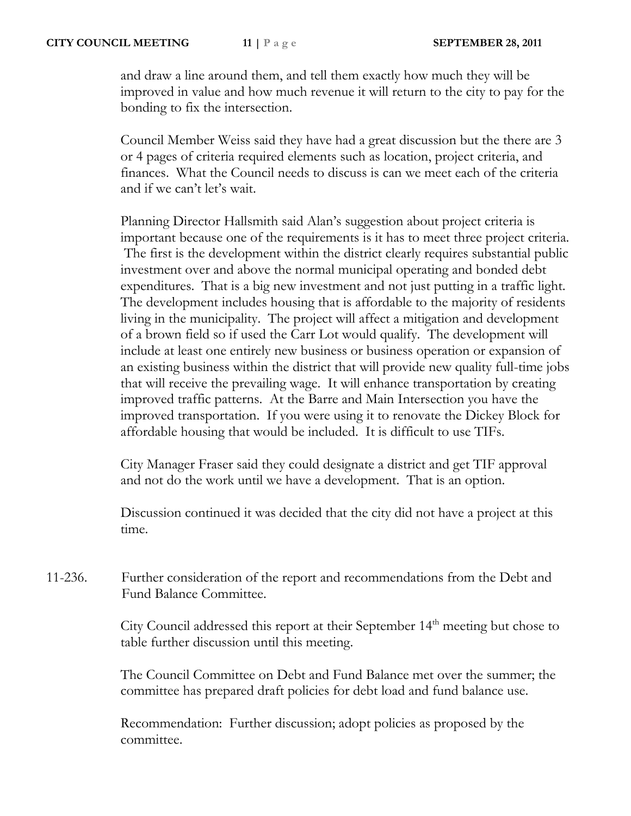and draw a line around them, and tell them exactly how much they will be improved in value and how much revenue it will return to the city to pay for the bonding to fix the intersection.

Council Member Weiss said they have had a great discussion but the there are 3 or 4 pages of criteria required elements such as location, project criteria, and finances. What the Council needs to discuss is can we meet each of the criteria and if we can't let's wait.

Planning Director Hallsmith said Alan's suggestion about project criteria is important because one of the requirements is it has to meet three project criteria. The first is the development within the district clearly requires substantial public investment over and above the normal municipal operating and bonded debt expenditures. That is a big new investment and not just putting in a traffic light. The development includes housing that is affordable to the majority of residents living in the municipality. The project will affect a mitigation and development of a brown field so if used the Carr Lot would qualify. The development will include at least one entirely new business or business operation or expansion of an existing business within the district that will provide new quality full-time jobs that will receive the prevailing wage. It will enhance transportation by creating improved traffic patterns. At the Barre and Main Intersection you have the improved transportation. If you were using it to renovate the Dickey Block for affordable housing that would be included. It is difficult to use TIFs.

City Manager Fraser said they could designate a district and get TIF approval and not do the work until we have a development. That is an option.

Discussion continued it was decided that the city did not have a project at this time.

11-236. Further consideration of the report and recommendations from the Debt and Fund Balance Committee.

> City Council addressed this report at their September 14<sup>th</sup> meeting but chose to table further discussion until this meeting.

> The Council Committee on Debt and Fund Balance met over the summer; the committee has prepared draft policies for debt load and fund balance use.

Recommendation: Further discussion; adopt policies as proposed by the committee.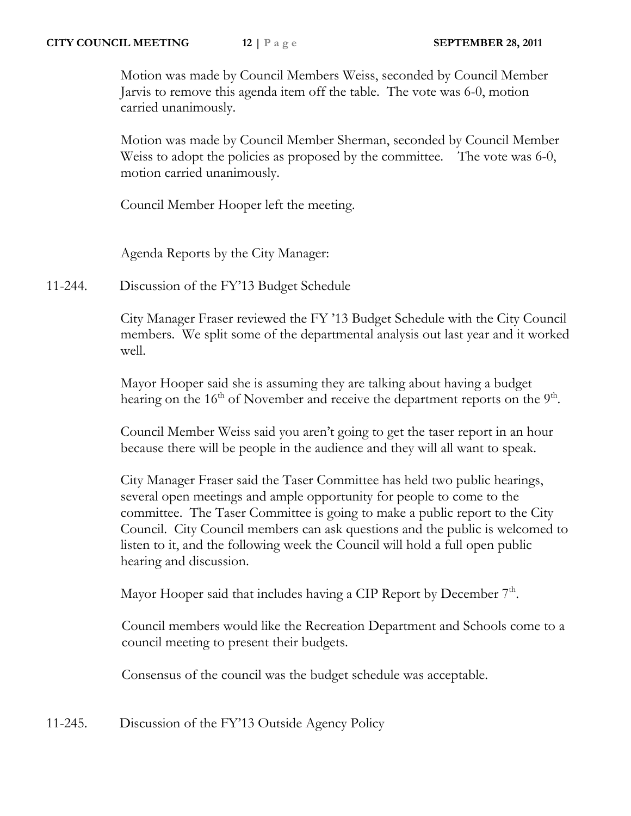Motion was made by Council Members Weiss, seconded by Council Member Jarvis to remove this agenda item off the table. The vote was 6-0, motion carried unanimously.

Motion was made by Council Member Sherman, seconded by Council Member Weiss to adopt the policies as proposed by the committee. The vote was 6-0, motion carried unanimously.

Council Member Hooper left the meeting.

Agenda Reports by the City Manager:

11-244. Discussion of the FY'13 Budget Schedule

City Manager Fraser reviewed the FY '13 Budget Schedule with the City Council members. We split some of the departmental analysis out last year and it worked well.

Mayor Hooper said she is assuming they are talking about having a budget hearing on the  $16<sup>th</sup>$  of November and receive the department reports on the  $9<sup>th</sup>$ .

Council Member Weiss said you aren't going to get the taser report in an hour because there will be people in the audience and they will all want to speak.

City Manager Fraser said the Taser Committee has held two public hearings, several open meetings and ample opportunity for people to come to the committee. The Taser Committee is going to make a public report to the City Council. City Council members can ask questions and the public is welcomed to listen to it, and the following week the Council will hold a full open public hearing and discussion.

Mayor Hooper said that includes having a CIP Report by December  $7<sup>th</sup>$ .

 Council members would like the Recreation Department and Schools come to a council meeting to present their budgets.

Consensus of the council was the budget schedule was acceptable.

11-245. Discussion of the FY'13 Outside Agency Policy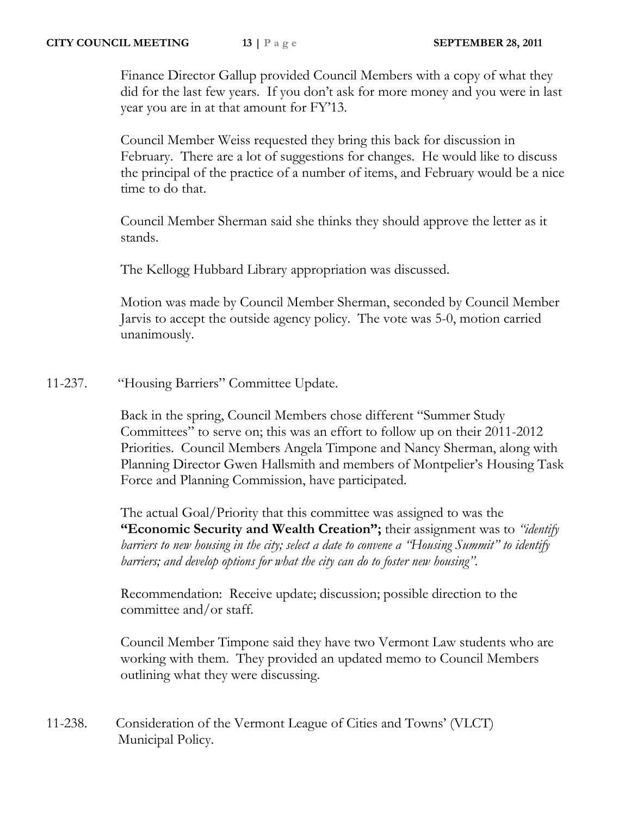Finance Director Gallup provided Council Members with a copy of what they did for the last few years. If you don't ask for more money and you were in last year you are in at that amount for FY'13.

Council Member Weiss requested they bring this back for discussion in February. There are a lot of suggestions for changes. He would like to discuss the principal of the practice of a number of items, and February would be a nice time to do that.

Council Member Sherman said she thinks they should approve the letter as it stands.

The Kellogg Hubbard Library appropriation was discussed.

Motion was made by Council Member Sherman, seconded by Council Member Jarvis to accept the outside agency policy. The vote was 5-0, motion carried unanimously.

11-237. "Housing Barriers" Committee Update.

Back in the spring, Council Members chose different "Summer Study Committees" to serve on; this was an effort to follow up on their 2011-2012 Priorities. Council Members Angela Timpone and Nancy Sherman, along with Planning Director Gwen Hallsmith and members of Montpelier's Housing Task Force and Planning Commission, have participated.

The actual Goal/Priority that this committee was assigned to was the **"Economic Security and Wealth Creation";** their assignment was to *"identify barriers to new housing in the city; select a date to convene a "Housing Summit" to identify barriers; and develop options for what the city can do to foster new housing".* 

Recommendation: Receive update; discussion; possible direction to the committee and/or staff.

Council Member Timpone said they have two Vermont Law students who are working with them. They provided an updated memo to Council Members outlining what they were discussing.

11-238. Consideration of the Vermont League of Cities and Towns' (VLCT) Municipal Policy.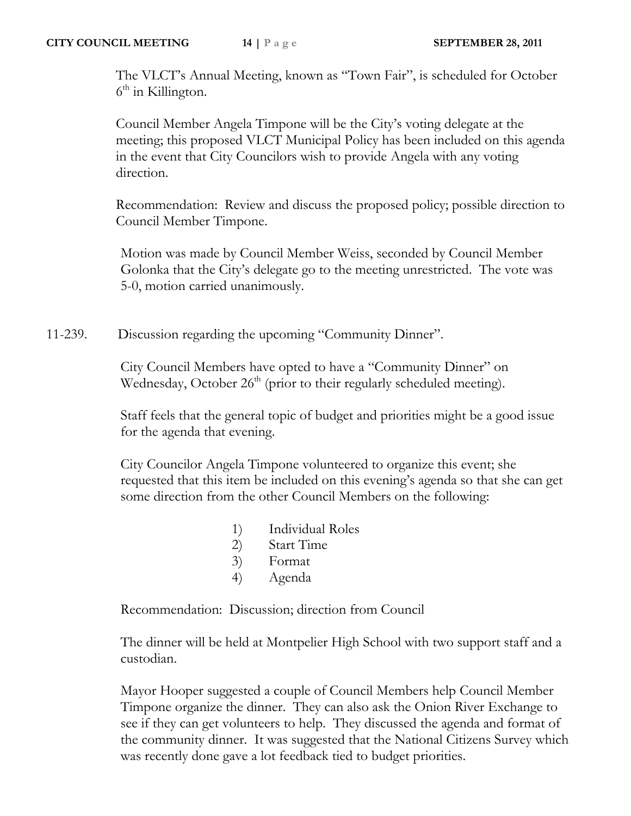The VLCT's Annual Meeting, known as "Town Fair", is scheduled for October 6<sup>th</sup> in Killington.

Council Member Angela Timpone will be the City's voting delegate at the meeting; this proposed VLCT Municipal Policy has been included on this agenda in the event that City Councilors wish to provide Angela with any voting direction.

Recommendation: Review and discuss the proposed policy; possible direction to Council Member Timpone.

Motion was made by Council Member Weiss, seconded by Council Member Golonka that the City's delegate go to the meeting unrestricted. The vote was 5-0, motion carried unanimously.

11-239. Discussion regarding the upcoming "Community Dinner".

City Council Members have opted to have a "Community Dinner" on Wednesday, October  $26<sup>th</sup>$  (prior to their regularly scheduled meeting).

Staff feels that the general topic of budget and priorities might be a good issue for the agenda that evening.

City Councilor Angela Timpone volunteered to organize this event; she requested that this item be included on this evening's agenda so that she can get some direction from the other Council Members on the following:

- 1) Individual Roles
- 2) Start Time
- 3) Format
- 4) Agenda

Recommendation: Discussion; direction from Council

The dinner will be held at Montpelier High School with two support staff and a custodian.

Mayor Hooper suggested a couple of Council Members help Council Member Timpone organize the dinner. They can also ask the Onion River Exchange to see if they can get volunteers to help. They discussed the agenda and format of the community dinner. It was suggested that the National Citizens Survey which was recently done gave a lot feedback tied to budget priorities.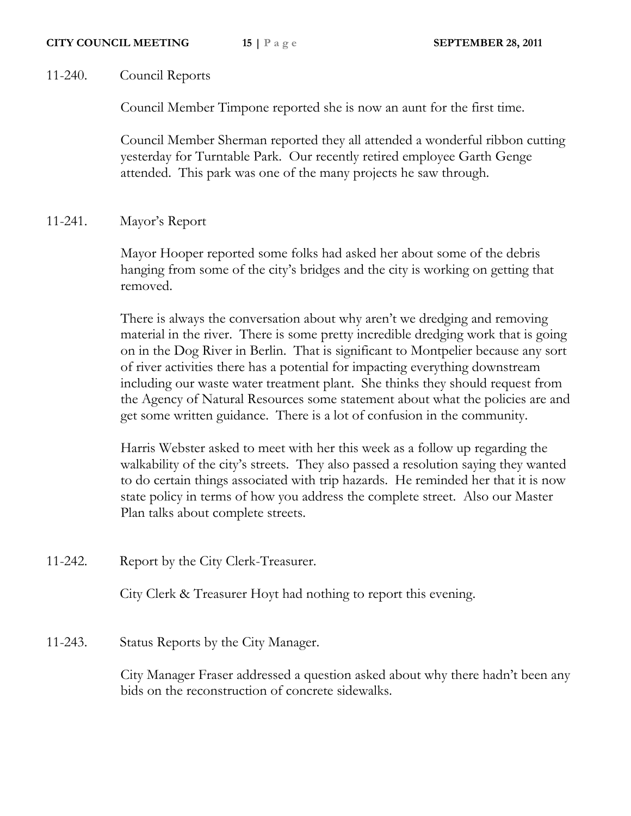## 11-240. Council Reports

Council Member Timpone reported she is now an aunt for the first time.

Council Member Sherman reported they all attended a wonderful ribbon cutting yesterday for Turntable Park. Our recently retired employee Garth Genge attended. This park was one of the many projects he saw through.

## 11-241. Mayor's Report

Mayor Hooper reported some folks had asked her about some of the debris hanging from some of the city's bridges and the city is working on getting that removed.

There is always the conversation about why aren't we dredging and removing material in the river. There is some pretty incredible dredging work that is going on in the Dog River in Berlin. That is significant to Montpelier because any sort of river activities there has a potential for impacting everything downstream including our waste water treatment plant. She thinks they should request from the Agency of Natural Resources some statement about what the policies are and get some written guidance. There is a lot of confusion in the community.

Harris Webster asked to meet with her this week as a follow up regarding the walkability of the city's streets. They also passed a resolution saying they wanted to do certain things associated with trip hazards. He reminded her that it is now state policy in terms of how you address the complete street. Also our Master Plan talks about complete streets.

11-242. Report by the City Clerk-Treasurer.

City Clerk & Treasurer Hoyt had nothing to report this evening.

11-243. Status Reports by the City Manager.

City Manager Fraser addressed a question asked about why there hadn't been any bids on the reconstruction of concrete sidewalks.